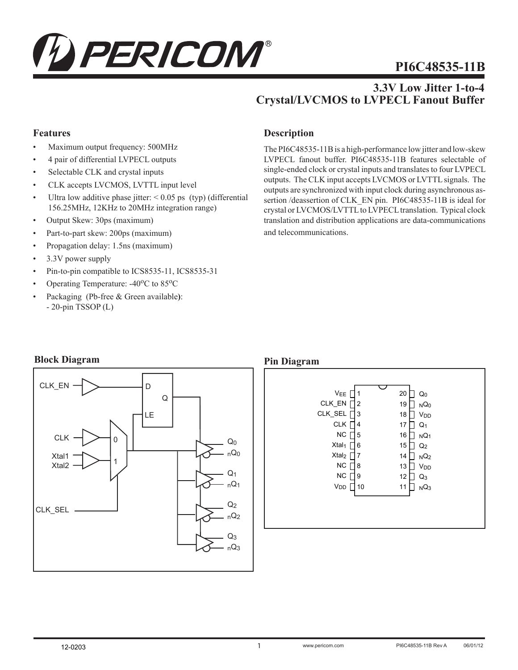

# **PI6C48535-11B**

# **3.3V Low Jitter 1-to-4 Crystal/LVCMOS to LVPECL Fanout Buffer**

## **Features**

- Maximum output frequency: 500MHz
- 4 pair of differential LVPECL outputs
- Selectable CLK and crystal inputs
- CLK accepts LVCMOS, LVTTL input level
- Ultra low additive phase jitter:  $\leq 0.05$  ps (typ) (differential 156.25MHz, 12KHz to 20MHz integration range)
- Output Skew: 30ps (maximum)
- Part-to-part skew: 200ps (maximum)
- Propagation delay: 1.5ns (maximum)
- 3.3V power supply
- Pin-to-pin compatible to ICS8535-11, ICS8535-31
- Operating Temperature:  $-40^{\circ}$ C to 85 $^{\circ}$ C
- Packaging (Pb-free & Green available**)**: - 20-pin TSSOP (L)

## **Description**

The PI6C48535-11B is a high-performance low jitter and low-skew LVPECL fanout buffer. PI6C48535-11B features selectable of single-ended clock or crystal inputs and translates to four LVPECL outputs. The CLK input accepts LVCMOS or LVTTL signals. The outputs are synchronized with input clock during asynchronous assertion /deassertion of CLK\_EN pin. PI6C48535-11B is ideal for crystal or LVCMOS/LVTTL to LVPECL translation. Typical clock translation and distribution applications are data-communications and telecommunications.

#### **Block Diagram**



#### **Pin Diagram**

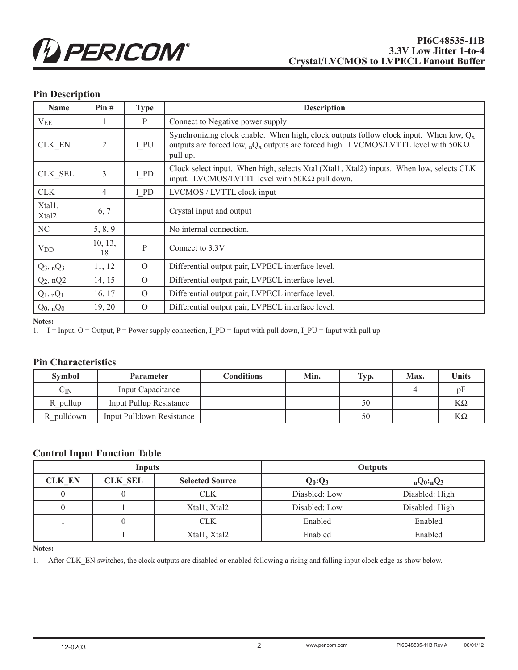

# **Pin Description**

| <b>Name</b>                 | Pin#           | <b>Type</b>  | <b>Description</b>                                                                                                                                                                                          |
|-----------------------------|----------------|--------------|-------------------------------------------------------------------------------------------------------------------------------------------------------------------------------------------------------------|
| $V_{EE}$                    |                | P            | Connect to Negative power supply                                                                                                                                                                            |
| CLK EN                      | 2              | I PU         | Synchronizing clock enable. When high, clock outputs follow clock input. When low, $Q_x$<br>outputs are forced low, ${}_{n}Q_{x}$ outputs are forced high. LVCMOS/LVTTL level with 50K $\Omega$<br>pull up. |
| CLK SEL                     | 3              | I PD         | Clock select input. When high, selects Xtal (Xtal1, Xtal2) inputs. When low, selects CLK<br>input. LVCMOS/LVTTL level with $50K\Omega$ pull down.                                                           |
| <b>CLK</b>                  | $\overline{4}$ | I PD         | LVCMOS / LVTTL clock input                                                                                                                                                                                  |
| Xtall,<br>Xtal <sub>2</sub> | 6, 7           |              | Crystal input and output                                                                                                                                                                                    |
| NC                          | 5, 8, 9        |              | No internal connection.                                                                                                                                                                                     |
| $V_{DD}$                    | 10, 13,<br>18  | $\mathbf{P}$ | Connect to 3.3V                                                                                                                                                                                             |
| $Q_3$ , $nQ_3$              | 11, 12         | $\Omega$     | Differential output pair, LVPECL interface level.                                                                                                                                                           |
| $Q_2$ , n $Q_2$             | 14, 15         | $\Omega$     | Differential output pair, LVPECL interface level.                                                                                                                                                           |
| $Q_1$ , n $Q_1$             | 16, 17         | $\Omega$     | Differential output pair, LVPECL interface level.                                                                                                                                                           |
| $Q_0$ , $nQ_0$              | 19, 20         | $\Omega$     | Differential output pair, LVPECL interface level.                                                                                                                                                           |

#### **Notes:**

1.  $I = Input, O = Output, P = Power supply connection, I_P = Input with pull down, I_PU = Input with pull up.$ 

#### **Pin Characteristics**

| <b>Symbol</b>     | <b>Parameter</b>               | Conditions | Min. | Typ. | Max. | <b>Units</b> |
|-------------------|--------------------------------|------------|------|------|------|--------------|
| $\mathrm{C_{IN}}$ | <b>Input Capacitance</b>       |            |      |      |      | DI           |
| R pullup          | <b>Input Pullup Resistance</b> |            |      | 50   |      | $K\Omega$    |
| pulldown<br>R.    | Input Pulldown Resistance      |            |      | 50   |      | $K\Omega$    |

# **Control Input Function Table**

| Inputs        |                |                        |               | <b>Outputs</b> |
|---------------|----------------|------------------------|---------------|----------------|
| <b>CLK EN</b> | <b>CLK SEL</b> | <b>Selected Source</b> | $Q_0:Q_3$     | $nQ_0: nQ_3$   |
|               |                | CLK                    | Diasbled: Low | Diasbled: High |
|               |                | Xtal1, Xtal2           | Disabled: Low | Disabled: High |
|               |                | CLK                    | Enabled       | Enabled        |
|               |                | Xtal1, Xtal2           | Enabled       | Enabled        |

#### **Notes:**

1. After CLK\_EN switches, the clock outputs are disabled or enabled following a rising and falling input clock edge as show below.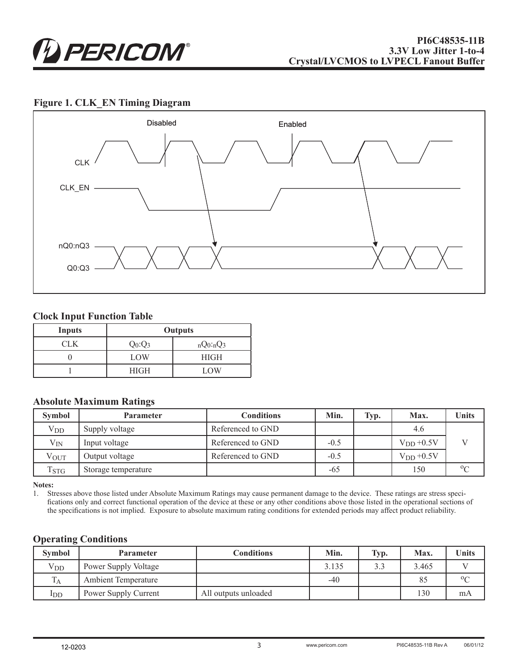

#### **Figure 1. CLK\_EN Timing Diagram**



#### **Clock Input Function Table**

| <b>Inputs</b> | <b>Outputs</b> |              |  |
|---------------|----------------|--------------|--|
| CLK           | $Q_0:Q_3$      | $nQ_0: nQ_3$ |  |
|               | LOW            | <b>HIGH</b>  |  |
|               | <b>HIGH</b>    | <b>LOW</b>   |  |

#### **Absolute Maximum Ratings**

| <b>Symbol</b>                        | <b>Parameter</b>    | Conditions        | Min.   | Typ. | Max.          | <b>Units</b> |
|--------------------------------------|---------------------|-------------------|--------|------|---------------|--------------|
| $V_{DD}$                             | Supply voltage      | Referenced to GND |        |      | 4.6           |              |
| $V_{IN}$                             | Input voltage       | Referenced to GND | $-0.5$ |      | $V_{DD}+0.5V$ |              |
| $V_{\rm OUT}$                        | Output voltage      | Referenced to GND | $-0.5$ |      | $VDD +0.5V$   |              |
| <b>T</b> <sub>S</sub> T <sub>G</sub> | Storage temperature |                   | $-65$  |      | 150           | $0^{\circ}$  |

**Notes:**

1. Stresses above those listed under Absolute Maximum Ratings may cause permanent damage to the device. These ratings are stress specifications only and correct functional operation of the device at these or any other conditions above those listed in the operational sections of the specifications is not implied. Exposure to absolute maximum rating conditions for extended periods may affect product reliability.

#### **Operating Conditions**

| <b>Symbol</b> | <b>Parameter</b>           | Conditions           | Min.  | Typ. | Max.  | <b>Units</b> |
|---------------|----------------------------|----------------------|-------|------|-------|--------------|
| $V_{DD}$      | Power Supply Voltage       |                      | 3.135 | 33   | 3.465 |              |
|               | <b>Ambient Temperature</b> |                      | -40   |      | 85    | $0\Omega$    |
| $_{\rm{1DD}}$ | Power Supply Current       | All outputs unloaded |       |      | 130   | mA           |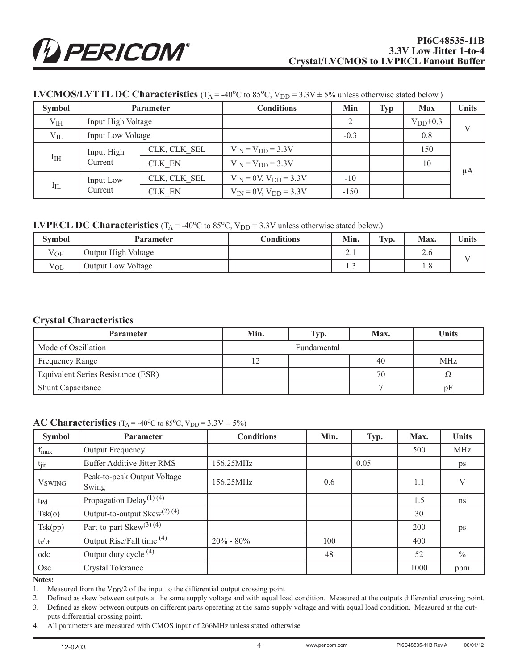| <b>Symbol</b> |                      | <b>Parameter</b> | <b>Conditions</b>               | Min    | <b>Typ</b> | <b>Max</b> | <b>Units</b> |
|---------------|----------------------|------------------|---------------------------------|--------|------------|------------|--------------|
| $V_{IH}$      | Input High Voltage   |                  |                                 | 2      |            | $VDD+0.3$  | V            |
| $V_{IL}$      | Input Low Voltage    |                  |                                 | $-0.3$ |            | 0.8        |              |
|               | Input High           | CLK, CLK SEL     | $V_{IN} = V_{DD} = 3.3V$        |        |            | 150        |              |
| $I_{IH}$      | Current              | CLK EN           | $V_{IN} = V_{DD} = 3.3V$        |        |            | 10         | μA           |
| $I_{IL}$      | Input Low<br>Current | CLK, CLK SEL     | $V_{IN} = 0V$ , $V_{DD} = 3.3V$ | $-10$  |            |            |              |
|               |                      | CLK EN           | $V_{IN} = 0V$ , $V_{DD} = 3.3V$ | $-150$ |            |            |              |

## **LVCMOS/LVTTL DC Characteristics** ( $T_A = -40^{\circ}C$  to 85<sup>o</sup>C,  $V_{DD} = 3.3V \pm 5\%$  unless otherwise stated below.)

## **LVPECL DC Characteristics**  $(T_A = -40^{\circ}C \text{ to } 85^{\circ}C, V_{DD} = 3.3V \text{ unless otherwise stated below.})$

| <b>Symbol</b> | <b>Parameter</b>    | <b>Conditions</b> | Min.          | Typ. | Max.        | <b>Units</b> |
|---------------|---------------------|-------------------|---------------|------|-------------|--------------|
| T<br>Voh      | Output High Voltage |                   | $\sim$<br>4.1 |      | $\angle$ .0 |              |
| $V_{OL}$      | Output Low Voltage  |                   | ر…            |      | 1.0         |              |

#### **Crystal Characteristics**

| <b>Parameter</b>                   | Min. | Typ.        | Max. | Units      |
|------------------------------------|------|-------------|------|------------|
| Mode of Oscillation                |      | Fundamental |      |            |
| Frequency Range                    |      |             | 40   | <b>MHz</b> |
| Equivalent Series Resistance (ESR) |      |             | 70   | 77         |
| <b>Shunt Capacitance</b>           |      |             |      | υŀ         |

#### **AC Characteristics** ( $T_A = -40^{\circ}C$  to 85<sup>o</sup>C,  $V_{DD} = 3.3V \pm 5\%$ )

| <b>Symbol</b>             | <b>Parameter</b>                     | <b>Conditions</b> | Min. | Typ. | Max. | <b>Units</b>  |
|---------------------------|--------------------------------------|-------------------|------|------|------|---------------|
| $f_{max}$                 | Output Frequency                     |                   |      |      | 500  | <b>MHz</b>    |
| tjit                      | <b>Buffer Additive Jitter RMS</b>    | 156.25MHz         |      | 0.05 |      | ps            |
| <b>V</b> <sub>SWING</sub> | Peak-to-peak Output Voltage<br>Swing | 156.25MHz         | 0.6  |      | 1.1  | $\mathbf{V}$  |
| $tp_d$                    | Propagation Delay <sup>(1)(4)</sup>  |                   |      |      | 1.5  | ns            |
| Tsk(o)                    | Output-to-output $Skew^{(2)(4)}$     |                   |      |      | 30   |               |
| Tsk(pp)                   | Part-to-part Skew $(3)$ $(4)$        |                   |      |      | 200  | ps            |
| $t_r/t_f$                 | Output Rise/Fall time <sup>(4)</sup> | $20\% - 80\%$     | 100  |      | 400  |               |
| odc                       | Output duty cycle <sup>(4)</sup>     |                   | 48   |      | 52   | $\frac{0}{0}$ |
| Osc                       | <b>Crystal Tolerance</b>             |                   |      |      | 1000 | ppm           |

**Notes:** 

1. Measured from the  $V<sub>DD</sub>/2$  of the input to the differential output crossing point

2. Defined as skew between outputs at the same supply voltage and with equal load condition. Measured at the outputs differential crossing point.

3. Defined as skew between outputs on different parts operating at the same supply voltage and with equal load condition. Measured at the out-

puts differential crossing point.

4. All parameters are measured with CMOS input of 266MHz unless stated otherwise